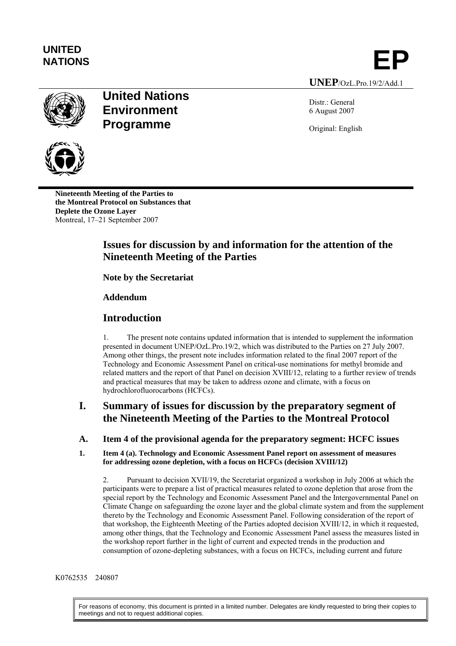

UNITED<br>NATIONS **EP UNEP**/OzL.Pro.19/2/Add.1

# **United Nations Environment Programme**

Distr.: General 6 August 2007

Original: English



**Nineteenth Meeting of the Parties to the Montreal Protocol on Substances that Deplete the Ozone Layer**  Montreal, 17–21 September 2007

## **Issues for discussion by and information for the attention of the Nineteenth Meeting of the Parties**

## **Note by the Secretariat**

## **Addendum**

## **Introduction**

1. The present note contains updated information that is intended to supplement the information presented in document UNEP/OzL.Pro.19/2, which was distributed to the Parties on 27 July 2007. Among other things, the present note includes information related to the final 2007 report of the Technology and Economic Assessment Panel on critical-use nominations for methyl bromide and related matters and the report of that Panel on decision XVIII/12, relating to a further review of trends and practical measures that may be taken to address ozone and climate, with a focus on hydrochlorofluorocarbons (HCFCs).

## **I. Summary of issues for discussion by the preparatory segment of the Nineteenth Meeting of the Parties to the Montreal Protocol**

**A. Item 4 of the provisional agenda for the preparatory segment: HCFC issues** 

### **1. Item 4 (a). Technology and Economic Assessment Panel report on assessment of measures for addressing ozone depletion, with a focus on HCFCs (decision XVIII/12)**

2. Pursuant to decision XVII/19, the Secretariat organized a workshop in July 2006 at which the participants were to prepare a list of practical measures related to ozone depletion that arose from the special report by the Technology and Economic Assessment Panel and the Intergovernmental Panel on Climate Change on safeguarding the ozone layer and the global climate system and from the supplement thereto by the Technology and Economic Assessment Panel. Following consideration of the report of that workshop, the Eighteenth Meeting of the Parties adopted decision XVIII/12, in which it requested, among other things, that the Technology and Economic Assessment Panel assess the measures listed in the workshop report further in the light of current and expected trends in the production and consumption of ozone-depleting substances, with a focus on HCFCs, including current and future

### K0762535 240807

For reasons of economy, this document is printed in a limited number. Delegates are kindly requested to bring their copies to meetings and not to request additional copies.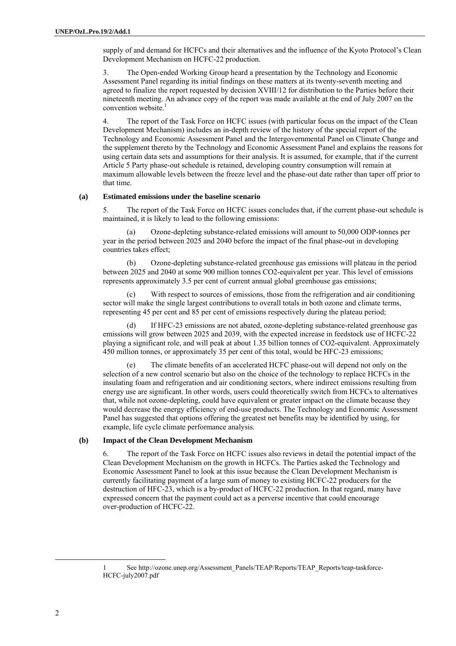supply of and demand for HCFCs and their alternatives and the influence of the Kyoto Protocol's Clean Development Mechanism on HCFC-22 production.

3. The Open-ended Working Group heard a presentation by the Technology and Economic Assessment Panel regarding its initial findings on these matters at its twenty-seventh meeting and agreed to finalize the report requested by decision XVIII/12 for distribution to the Parties before their nineteenth meeting. An advance copy of the report was made available at the end of July 2007 on the convention website.<sup>1</sup>

4. The report of the Task Force on HCFC issues (with particular focus on the impact of the Clean Development Mechanism) includes an in-depth review of the history of the special report of the Technology and Economic Assessment Panel and the Intergovernmental Panel on Climate Change and the supplement thereto by the Technology and Economic Assessment Panel and explains the reasons for using certain data sets and assumptions for their analysis. It is assumed, for example, that if the current Article 5 Party phase-out schedule is retained, developing country consumption will remain at maximum allowable levels between the freeze level and the phase-out date rather than taper off prior to that time.

#### **(a) Estimated emissions under the baseline scenario**

5. The report of the Task Force on HCFC issues concludes that, if the current phase-out schedule is maintained, it is likely to lead to the following emissions:

(a) Ozone-depleting substance-related emissions will amount to 50,000 ODP-tonnes per year in the period between 2025 and 2040 before the impact of the final phase-out in developing countries takes effect;

(b) Ozone-depleting substance-related greenhouse gas emissions will plateau in the period between 2025 and 2040 at some 900 million tonnes CO2-equivalent per year. This level of emissions represents approximately 3.5 per cent of current annual global greenhouse gas emissions;

(c) With respect to sources of emissions, those from the refrigeration and air conditioning sector will make the single largest contributions to overall totals in both ozone and climate terms, representing 45 per cent and 85 per cent of emissions respectively during the plateau period;

If HFC-23 emissions are not abated, ozone-depleting substance-related greenhouse gas emissions will grow between 2025 and 2039, with the expected increase in feedstock use of HCFC-22 playing a significant role, and will peak at about 1.35 billion tonnes of CO2-equivalent. Approximately 450 million tonnes, or approximately 35 per cent of this total, would be HFC-23 emissions;

(e) The climate benefits of an accelerated HCFC phase-out will depend not only on the selection of a new control scenario but also on the choice of the technology to replace HCFCs in the insulating foam and refrigeration and air conditioning sectors, where indirect emissions resulting from energy use are significant. In other words, users could theoretically switch from HCFCs to alternatives that, while not ozone-depleting, could have equivalent or greater impact on the climate because they would decrease the energy efficiency of end-use products. The Technology and Economic Assessment Panel has suggested that options offering the greatest net benefits may be identified by using, for example, life cycle climate performance analysis.

### **(b) Impact of the Clean Development Mechanism**

6. The report of the Task Force on HCFC issues also reviews in detail the potential impact of the Clean Development Mechanism on the growth in HCFCs. The Parties asked the Technology and Economic Assessment Panel to look at this issue because the Clean Development Mechanism is currently facilitating payment of a large sum of money to existing HCFC-22 producers for the destruction of HFC-23, which is a by-product of HCFC-22 production. In that regard, many have expressed concern that the payment could act as a perverse incentive that could encourage over-production of HCFC-22.

 <sup>1</sup> See http://ozone.unep.org/Assessment\_Panels/TEAP/Reports/TEAP\_Reports/teap-taskforce-HCFC-july2007.pdf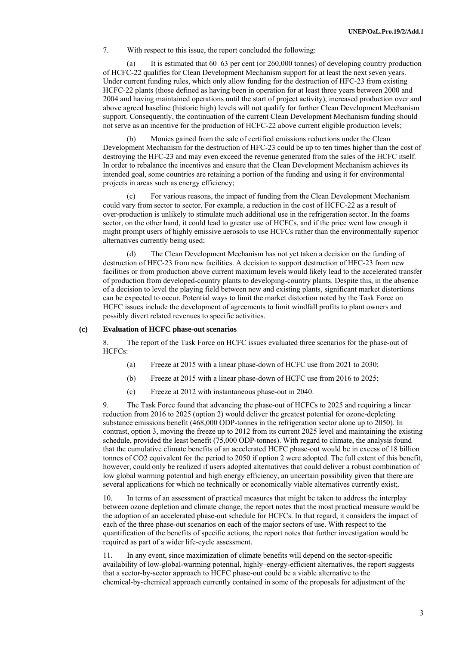7. With respect to this issue, the report concluded the following:

It is estimated that  $60-63$  per cent (or  $260,000$  tonnes) of developing country production of HCFC-22 qualifies for Clean Development Mechanism support for at least the next seven years. Under current funding rules, which only allow funding for the destruction of HFC-23 from existing HCFC-22 plants (those defined as having been in operation for at least three years between 2000 and 2004 and having maintained operations until the start of project activity), increased production over and above agreed baseline (historic high) levels will not qualify for further Clean Development Mechanism support. Consequently, the continuation of the current Clean Development Mechanism funding should not serve as an incentive for the production of HCFC-22 above current eligible production levels;

(b) Monies gained from the sale of certified emissions reductions under the Clean Development Mechanism for the destruction of HFC-23 could be up to ten times higher than the cost of destroying the HFC-23 and may even exceed the revenue generated from the sales of the HCFC itself. In order to rebalance the incentives and ensure that the Clean Development Mechanism achieves its intended goal, some countries are retaining a portion of the funding and using it for environmental projects in areas such as energy efficiency;

(c) For various reasons, the impact of funding from the Clean Development Mechanism could vary from sector to sector. For example, a reduction in the cost of HCFC-22 as a result of over-production is unlikely to stimulate much additional use in the refrigeration sector. In the foams sector, on the other hand, it could lead to greater use of HCFCs, and if the price went low enough it might prompt users of highly emissive aerosols to use HCFCs rather than the environmentally superior alternatives currently being used;

The Clean Development Mechanism has not yet taken a decision on the funding of destruction of HFC-23 from new facilities. A decision to support destruction of HFC-23 from new facilities or from production above current maximum levels would likely lead to the accelerated transfer of production from developed-country plants to developing-country plants. Despite this, in the absence of a decision to level the playing field between new and existing plants, significant market distortions can be expected to occur. Potential ways to limit the market distortion noted by the Task Force on HCFC issues include the development of agreements to limit windfall profits to plant owners and possibly divert related revenues to specific activities.

#### **(c) Evaluation of HCFC phase-out scenarios**

8. The report of the Task Force on HCFC issues evaluated three scenarios for the phase-out of HCFCs:

- (a) Freeze at 2015 with a linear phase-down of HCFC use from 2021 to 2030;
- (b) Freeze at 2015 with a linear phase-down of HCFC use from 2016 to 2025;
- (c) Freeze at 2012 with instantaneous phase-out in 2040.

9. The Task Force found that advancing the phase-out of HCFCs to 2025 and requiring a linear reduction from 2016 to 2025 (option 2) would deliver the greatest potential for ozone-depleting substance emissions benefit (468,000 ODP-tonnes in the refrigeration sector alone up to 2050). In contrast, option 3, moving the freeze up to 2012 from its current 2025 level and maintaining the existing schedule, provided the least benefit (75,000 ODP-tonnes). With regard to climate, the analysis found that the cumulative climate benefits of an accelerated HCFC phase-out would be in excess of 18 billion tonnes of CO2 equivalent for the period to 2050 if option 2 were adopted. The full extent of this benefit, however, could only be realized if users adopted alternatives that could deliver a robust combination of low global warming potential and high energy efficiency, an uncertain possibility given that there are several applications for which no technically or economically viable alternatives currently exist;.

10. In terms of an assessment of practical measures that might be taken to address the interplay between ozone depletion and climate change, the report notes that the most practical measure would be the adoption of an accelerated phase-out schedule for HCFCs. In that regard, it considers the impact of each of the three phase-out scenarios on each of the major sectors of use. With respect to the quantification of the benefits of specific actions, the report notes that further investigation would be required as part of a wider life-cycle assessment.

11. In any event, since maximization of climate benefits will depend on the sector-specific availability of low-global-warming potential, highly–energy-efficient alternatives, the report suggests that a sector-by-sector approach to HCFC phase-out could be a viable alternative to the chemical-by-chemical approach currently contained in some of the proposals for adjustment of the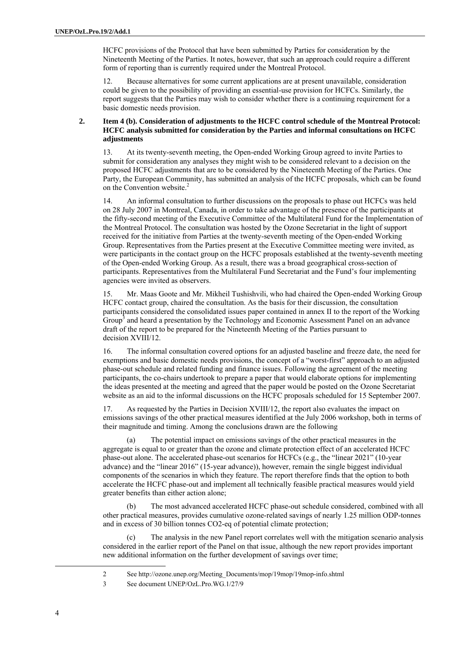HCFC provisions of the Protocol that have been submitted by Parties for consideration by the Nineteenth Meeting of the Parties. It notes, however, that such an approach could require a different form of reporting than is currently required under the Montreal Protocol.

12. Because alternatives for some current applications are at present unavailable, consideration could be given to the possibility of providing an essential-use provision for HCFCs. Similarly, the report suggests that the Parties may wish to consider whether there is a continuing requirement for a basic domestic needs provision.

### **2. Item 4 (b). Consideration of adjustments to the HCFC control schedule of the Montreal Protocol: HCFC analysis submitted for consideration by the Parties and informal consultations on HCFC adjustments**

13. At its twenty-seventh meeting, the Open-ended Working Group agreed to invite Parties to submit for consideration any analyses they might wish to be considered relevant to a decision on the proposed HCFC adjustments that are to be considered by the Nineteenth Meeting of the Parties. One Party, the European Community, has submitted an analysis of the HCFC proposals, which can be found on the Convention website.<sup>2</sup>

14. An informal consultation to further discussions on the proposals to phase out HCFCs was held on 28 July 2007 in Montreal, Canada, in order to take advantage of the presence of the participants at the fifty-second meeting of the Executive Committee of the Multilateral Fund for the Implementation of the Montreal Protocol. The consultation was hosted by the Ozone Secretariat in the light of support received for the initiative from Parties at the twenty-seventh meeting of the Open-ended Working Group. Representatives from the Parties present at the Executive Committee meeting were invited, as were participants in the contact group on the HCFC proposals established at the twenty-seventh meeting of the Open-ended Working Group. As a result, there was a broad geographical cross-section of participants. Representatives from the Multilateral Fund Secretariat and the Fund's four implementing agencies were invited as observers.

15. Mr. Maas Goote and Mr. Mikheil Tushishvili, who had chaired the Open-ended Working Group HCFC contact group, chaired the consultation. As the basis for their discussion, the consultation participants considered the consolidated issues paper contained in annex II to the report of the Working  $\overline{\text{Group}^3}$  and heard a presentation by the Technology and Economic Assessment Panel on an advance draft of the report to be prepared for the Nineteenth Meeting of the Parties pursuant to decision XVIII/12.

16. The informal consultation covered options for an adjusted baseline and freeze date, the need for exemptions and basic domestic needs provisions, the concept of a "worst-first" approach to an adjusted phase-out schedule and related funding and finance issues. Following the agreement of the meeting participants, the co-chairs undertook to prepare a paper that would elaborate options for implementing the ideas presented at the meeting and agreed that the paper would be posted on the Ozone Secretariat website as an aid to the informal discussions on the HCFC proposals scheduled for 15 September 2007.

17. As requested by the Parties in Decision XVIII/12, the report also evaluates the impact on emissions savings of the other practical measures identified at the July 2006 workshop, both in terms of their magnitude and timing. Among the conclusions drawn are the following

(a) The potential impact on emissions savings of the other practical measures in the aggregate is equal to or greater than the ozone and climate protection effect of an accelerated HCFC phase-out alone. The accelerated phase-out scenarios for HCFCs (e.g., the "linear 2021" (10-year advance) and the "linear 2016" (15-year advance)), however, remain the single biggest individual components of the scenarios in which they feature. The report therefore finds that the option to both accelerate the HCFC phase-out and implement all technically feasible practical measures would yield greater benefits than either action alone;

(b) The most advanced accelerated HCFC phase-out schedule considered, combined with all other practical measures, provides cumulative ozone-related savings of nearly 1.25 million ODP-tonnes and in excess of 30 billion tonnes CO2-eq of potential climate protection;

The analysis in the new Panel report correlates well with the mitigation scenario analysis considered in the earlier report of the Panel on that issue, although the new report provides important new additional information on the further development of savings over time;

 <sup>2</sup> See http://ozone.unep.org/Meeting\_Documents/mop/19mop/19mop-info.shtml

<sup>3</sup> See document UNEP/OzL.Pro.WG.1/27/9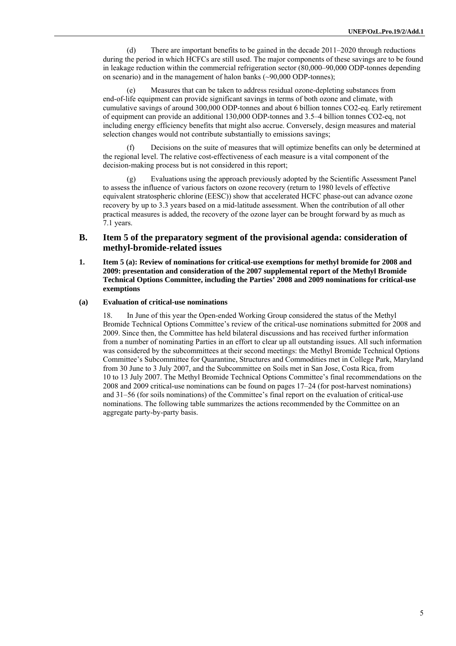(d) There are important benefits to be gained in the decade 2011–2020 through reductions during the period in which HCFCs are still used. The major components of these savings are to be found in leakage reduction within the commercial refrigeration sector (80,000–90,000 ODP-tonnes depending on scenario) and in the management of halon banks (~90,000 ODP-tonnes);

(e) Measures that can be taken to address residual ozone-depleting substances from end-of-life equipment can provide significant savings in terms of both ozone and climate, with cumulative savings of around 300,000 ODP-tonnes and about 6 billion tonnes CO2-eq. Early retirement of equipment can provide an additional 130,000 ODP-tonnes and 3.5–4 billion tonnes CO2-eq, not including energy efficiency benefits that might also accrue. Conversely, design measures and material selection changes would not contribute substantially to emissions savings;

(f) Decisions on the suite of measures that will optimize benefits can only be determined at the regional level. The relative cost-effectiveness of each measure is a vital component of the decision-making process but is not considered in this report;

(g) Evaluations using the approach previously adopted by the Scientific Assessment Panel to assess the influence of various factors on ozone recovery (return to 1980 levels of effective equivalent stratospheric chlorine (EESC)) show that accelerated HCFC phase-out can advance ozone recovery by up to 3.3 years based on a mid-latitude assessment. When the contribution of all other practical measures is added, the recovery of the ozone layer can be brought forward by as much as 7.1 years.

### **B. Item 5 of the preparatory segment of the provisional agenda: consideration of methyl-bromide-related issues**

**1. Item 5 (a): Review of nominations for critical-use exemptions for methyl bromide for 2008 and 2009: presentation and consideration of the 2007 supplemental report of the Methyl Bromide Technical Options Committee, including the Parties' 2008 and 2009 nominations for critical-use exemptions** 

#### **(a) Evaluation of critical-use nominations**

18. In June of this year the Open-ended Working Group considered the status of the Methyl Bromide Technical Options Committee's review of the critical-use nominations submitted for 2008 and 2009. Since then, the Committee has held bilateral discussions and has received further information from a number of nominating Parties in an effort to clear up all outstanding issues. All such information was considered by the subcommittees at their second meetings: the Methyl Bromide Technical Options Committee's Subcommittee for Quarantine, Structures and Commodities met in College Park, Maryland from 30 June to 3 July 2007, and the Subcommittee on Soils met in San Jose, Costa Rica, from 10 to 13 July 2007. The Methyl Bromide Technical Options Committee's final recommendations on the 2008 and 2009 critical-use nominations can be found on pages 17–24 (for post-harvest nominations) and 31–56 (for soils nominations) of the Committee's final report on the evaluation of critical-use nominations. The following table summarizes the actions recommended by the Committee on an aggregate party-by-party basis.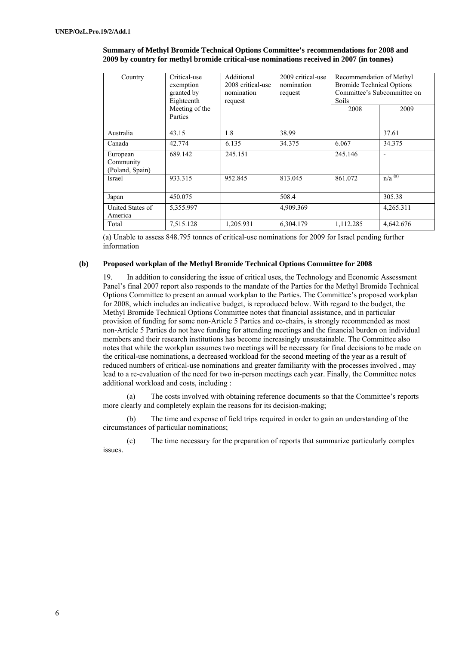| Country          | Critical-use   | Additional        | 2009 critical-use | Recommendation of Methyl                                                        |             |
|------------------|----------------|-------------------|-------------------|---------------------------------------------------------------------------------|-------------|
|                  | exemption      | 2008 critical-use | nomination        | <b>Bromide Technical Options</b><br>Committee's Subcommittee on<br><b>Soils</b> |             |
|                  | granted by     | nomination        | request           |                                                                                 |             |
|                  | Eighteenth     | request           |                   |                                                                                 |             |
|                  | Meeting of the |                   |                   | 2008                                                                            | 2009        |
|                  | Parties        |                   |                   |                                                                                 |             |
|                  |                |                   |                   |                                                                                 |             |
| Australia        | 43.15          | 1.8               | 38.99             |                                                                                 | 37.61       |
| Canada           | 42.774         | 6.135             | 34.375            | 6.067                                                                           | 34.375      |
| European         | 689.142        | 245.151           |                   | 245.146                                                                         |             |
| Community        |                |                   |                   |                                                                                 |             |
| (Poland, Spain)  |                |                   |                   |                                                                                 |             |
| Israel           | 933.315        | 952.845           | 813.045           | 861.072                                                                         | $n/a^{(a)}$ |
|                  |                |                   |                   |                                                                                 |             |
| Japan            | 450.075        |                   | 508.4             |                                                                                 | 305.38      |
| United States of | 5,355.997      |                   | 4,909.369         |                                                                                 | 4,265.311   |
| America          |                |                   |                   |                                                                                 |             |
| Total            | 7,515.128      | 1,205.931         | 6,304.179         | 1,112.285                                                                       | 4,642.676   |

**Summary of Methyl Bromide Technical Options Committee's recommendations for 2008 and 2009 by country for methyl bromide critical-use nominations received in 2007 (in tonnes)**

(a) Unable to assess 848.795 tonnes of critical-use nominations for 2009 for Israel pending further information

#### **(b) Proposed workplan of the Methyl Bromide Technical Options Committee for 2008**

19. In addition to considering the issue of critical uses, the Technology and Economic Assessment Panel's final 2007 report also responds to the mandate of the Parties for the Methyl Bromide Technical Options Committee to present an annual workplan to the Parties. The Committee's proposed workplan for 2008, which includes an indicative budget, is reproduced below. With regard to the budget, the Methyl Bromide Technical Options Committee notes that financial assistance, and in particular provision of funding for some non-Article 5 Parties and co-chairs, is strongly recommended as most non-Article 5 Parties do not have funding for attending meetings and the financial burden on individual members and their research institutions has become increasingly unsustainable. The Committee also notes that while the workplan assumes two meetings will be necessary for final decisions to be made on the critical-use nominations, a decreased workload for the second meeting of the year as a result of reduced numbers of critical-use nominations and greater familiarity with the processes involved , may lead to a re-evaluation of the need for two in-person meetings each year. Finally, the Committee notes additional workload and costs, including :

(a) The costs involved with obtaining reference documents so that the Committee's reports more clearly and completely explain the reasons for its decision-making;

(b) The time and expense of field trips required in order to gain an understanding of the circumstances of particular nominations;

(c) The time necessary for the preparation of reports that summarize particularly complex issues.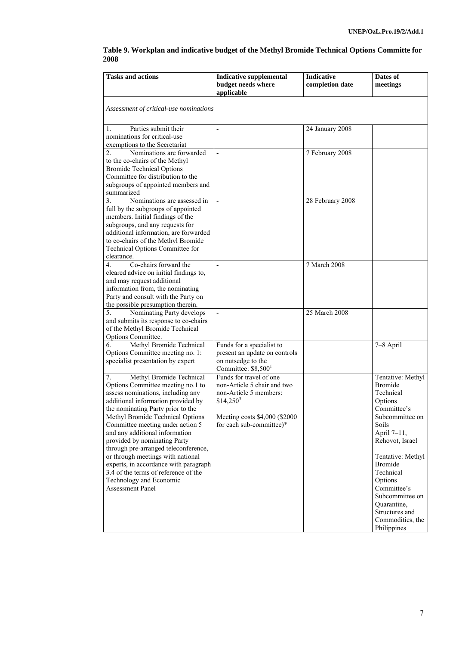| <b>Tasks and actions</b>                                                                                                                                                                                                                                                                                                                                                                                                                                                                                                                          | <b>Indicative supplemental</b><br>budget needs where<br>applicable                                                                                           | <b>Indicative</b><br>completion date | Dates of<br>meetings                                                                                                                                                                                                                                                                                          |
|---------------------------------------------------------------------------------------------------------------------------------------------------------------------------------------------------------------------------------------------------------------------------------------------------------------------------------------------------------------------------------------------------------------------------------------------------------------------------------------------------------------------------------------------------|--------------------------------------------------------------------------------------------------------------------------------------------------------------|--------------------------------------|---------------------------------------------------------------------------------------------------------------------------------------------------------------------------------------------------------------------------------------------------------------------------------------------------------------|
| Assessment of critical-use nominations                                                                                                                                                                                                                                                                                                                                                                                                                                                                                                            |                                                                                                                                                              |                                      |                                                                                                                                                                                                                                                                                                               |
| Parties submit their<br>1.<br>nominations for critical-use<br>exemptions to the Secretariat                                                                                                                                                                                                                                                                                                                                                                                                                                                       | $\overline{a}$                                                                                                                                               | 24 January 2008                      |                                                                                                                                                                                                                                                                                                               |
| Nominations are forwarded<br>2.<br>to the co-chairs of the Methyl<br><b>Bromide Technical Options</b><br>Committee for distribution to the<br>subgroups of appointed members and<br>summarized                                                                                                                                                                                                                                                                                                                                                    | $\overline{\phantom{a}}$                                                                                                                                     | 7 February 2008                      |                                                                                                                                                                                                                                                                                                               |
| Nominations are assessed in<br>3 <sub>1</sub><br>full by the subgroups of appointed<br>members. Initial findings of the<br>subgroups, and any requests for<br>additional information, are forwarded<br>to co-chairs of the Methyl Bromide<br>Technical Options Committee for<br>clearance.                                                                                                                                                                                                                                                        |                                                                                                                                                              | 28 February 2008                     |                                                                                                                                                                                                                                                                                                               |
| Co-chairs forward the<br>$\overline{4}$ .<br>cleared advice on initial findings to,<br>and may request additional<br>information from, the nominating<br>Party and consult with the Party on<br>the possible presumption therein.                                                                                                                                                                                                                                                                                                                 | $\overline{a}$                                                                                                                                               | 7 March 2008                         |                                                                                                                                                                                                                                                                                                               |
| 5 <sub>1</sub><br>Nominating Party develops<br>and submits its response to co-chairs<br>of the Methyl Bromide Technical<br>Options Committee.                                                                                                                                                                                                                                                                                                                                                                                                     | $\blacksquare$                                                                                                                                               | 25 March 2008                        |                                                                                                                                                                                                                                                                                                               |
| Methyl Bromide Technical<br>6.<br>Options Committee meeting no. 1:<br>specialist presentation by expert                                                                                                                                                                                                                                                                                                                                                                                                                                           | Funds for a specialist to<br>present an update on controls<br>on nutsedge to the<br>Committee: $$8,5001$                                                     |                                      | 7-8 April                                                                                                                                                                                                                                                                                                     |
| Methyl Bromide Technical<br>7.<br>Options Committee meeting no.1 to<br>assess nominations, including any<br>additional information provided by<br>the nominating Party prior to the<br>Methyl Bromide Technical Options<br>Committee meeting under action 5<br>and any additional information<br>provided by nominating Party<br>through pre-arranged teleconference,<br>or through meetings with national<br>experts, in accordance with paragraph<br>3.4 of the terms of reference of the<br>Technology and Economic<br><b>Assessment Panel</b> | Funds for travel of one<br>non-Article 5 chair and two<br>non-Article 5 members:<br>$$14,250^3$<br>Meeting costs \$4,000 (\$2000<br>for each sub-committee)* |                                      | Tentative: Methyl<br><b>Bromide</b><br>Technical<br>Options<br>Committee's<br>Subcommittee on<br>Soils<br>April 7-11,<br>Rehovot, Israel<br>Tentative: Methyl<br><b>Bromide</b><br>Technical<br>Options<br>Committee's<br>Subcommittee on<br>Quarantine,<br>Structures and<br>Commodities, the<br>Philippines |

### **Table 9. Workplan and indicative budget of the Methyl Bromide Technical Options Committe for 2008**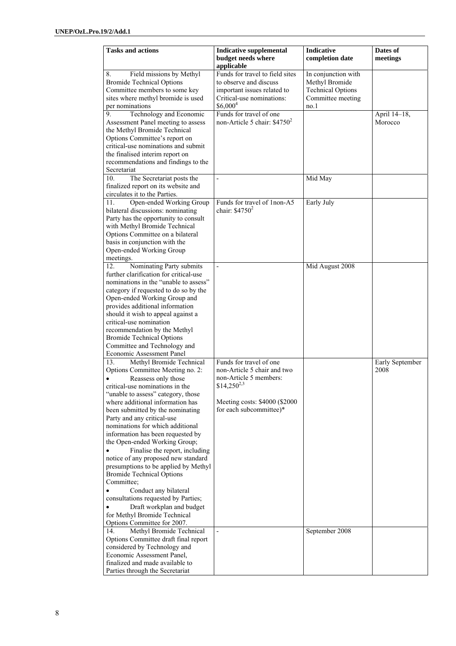| <b>Tasks and actions</b>                                                | <b>Indicative supplemental</b>                            | Indicative               | Dates of                |
|-------------------------------------------------------------------------|-----------------------------------------------------------|--------------------------|-------------------------|
|                                                                         | budget needs where<br>applicable                          | completion date          | meetings                |
| Field missions by Methyl<br>8.                                          | Funds for travel to field sites                           | In conjunction with      |                         |
| <b>Bromide Technical Options</b>                                        | to observe and discuss                                    | Methyl Bromide           |                         |
| Committee members to some key                                           | important issues related to                               | <b>Technical Options</b> |                         |
| sites where methyl bromide is used                                      | Critical-use nominations:                                 | Committee meeting        |                         |
| per nominations                                                         | $$6,000^4$                                                | no.1                     |                         |
| 9.<br>Technology and Economic<br>Assessment Panel meeting to assess     | Funds for travel of one<br>non-Article 5 chair: $$4750^2$ |                          | April 14-18,<br>Morocco |
| the Methyl Bromide Technical                                            |                                                           |                          |                         |
| Options Committee's report on                                           |                                                           |                          |                         |
| critical-use nominations and submit                                     |                                                           |                          |                         |
| the finalised interim report on                                         |                                                           |                          |                         |
| recommendations and findings to the                                     |                                                           |                          |                         |
| Secretariat                                                             |                                                           |                          |                         |
| 10.<br>The Secretariat posts the<br>finalized report on its website and | $\overline{a}$                                            | Mid May                  |                         |
| circulates it to the Parties.                                           |                                                           |                          |                         |
| Open-ended Working Group<br>11.                                         | Funds for travel of 1non-A5                               | Early July               |                         |
| bilateral discussions: nominating                                       | chair: $$47502$                                           |                          |                         |
| Party has the opportunity to consult                                    |                                                           |                          |                         |
| with Methyl Bromide Technical                                           |                                                           |                          |                         |
| Options Committee on a bilateral                                        |                                                           |                          |                         |
| basis in conjunction with the<br>Open-ended Working Group               |                                                           |                          |                         |
| meetings.                                                               |                                                           |                          |                         |
| Nominating Party submits<br>12.                                         |                                                           | Mid August 2008          |                         |
| further clarification for critical-use                                  |                                                           |                          |                         |
| nominations in the "unable to assess"                                   |                                                           |                          |                         |
| category if requested to do so by the                                   |                                                           |                          |                         |
| Open-ended Working Group and                                            |                                                           |                          |                         |
| provides additional information                                         |                                                           |                          |                         |
| should it wish to appeal against a<br>critical-use nomination           |                                                           |                          |                         |
| recommendation by the Methyl                                            |                                                           |                          |                         |
| <b>Bromide Technical Options</b>                                        |                                                           |                          |                         |
| Committee and Technology and                                            |                                                           |                          |                         |
| Economic Assessment Panel                                               |                                                           |                          |                         |
| Methyl Bromide Technical<br>13.                                         | Funds for travel of one                                   |                          | Early September         |
| Options Committee Meeting no. 2:                                        | non-Article 5 chair and two<br>non-Article 5 members:     |                          | 2008                    |
| Reassess only those<br>critical-use nominations in the                  | $$14,250^{2,3}$                                           |                          |                         |
| "unable to assess" category, those                                      |                                                           |                          |                         |
| where additional information has                                        | Meeting costs: \$4000 (\$2000)                            |                          |                         |
| been submitted by the nominating                                        | for each subcommittee)*                                   |                          |                         |
| Party and any critical-use                                              |                                                           |                          |                         |
| nominations for which additional                                        |                                                           |                          |                         |
| information has been requested by<br>the Open-ended Working Group;      |                                                           |                          |                         |
| Finalise the report, including                                          |                                                           |                          |                         |
| notice of any proposed new standard                                     |                                                           |                          |                         |
| presumptions to be applied by Methyl                                    |                                                           |                          |                         |
| <b>Bromide Technical Options</b>                                        |                                                           |                          |                         |
| Committee;                                                              |                                                           |                          |                         |
| Conduct any bilateral                                                   |                                                           |                          |                         |
| consultations requested by Parties;<br>Draft workplan and budget        |                                                           |                          |                         |
| for Methyl Bromide Technical                                            |                                                           |                          |                         |
| Options Committee for 2007.                                             |                                                           |                          |                         |
| Methyl Bromide Technical<br>14.                                         |                                                           | September 2008           |                         |
| Options Committee draft final report                                    |                                                           |                          |                         |
| considered by Technology and                                            |                                                           |                          |                         |
| Economic Assessment Panel,                                              |                                                           |                          |                         |
| finalized and made available to<br>Parties through the Secretariat      |                                                           |                          |                         |
|                                                                         |                                                           |                          |                         |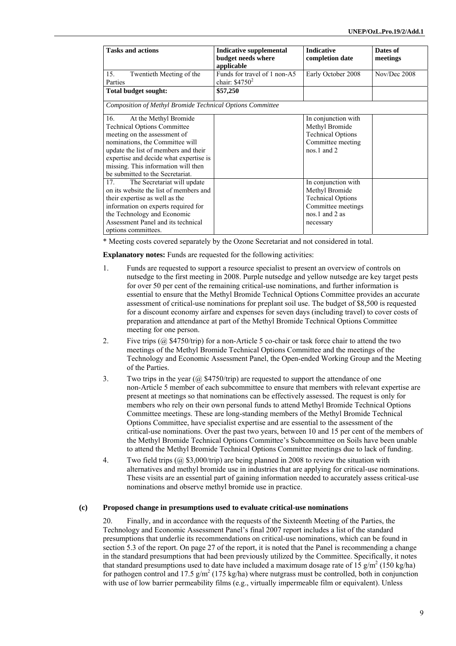| <b>Tasks and actions</b>                                                                                                                                                                                                                                                                           | <b>Indicative supplemental</b><br>budget needs where<br>applicable | <b>Indicative</b><br>completion date                                                                                       | Dates of<br>meetings |
|----------------------------------------------------------------------------------------------------------------------------------------------------------------------------------------------------------------------------------------------------------------------------------------------------|--------------------------------------------------------------------|----------------------------------------------------------------------------------------------------------------------------|----------------------|
| Twentieth Meeting of the<br>15.<br>Parties                                                                                                                                                                                                                                                         | Funds for travel of 1 non-A5<br>chair: $$47502$                    | Early October 2008                                                                                                         | Nov/Dec 2008         |
| Total budget sought:                                                                                                                                                                                                                                                                               | \$57,250                                                           |                                                                                                                            |                      |
| Composition of Methyl Bromide Technical Options Committee                                                                                                                                                                                                                                          |                                                                    |                                                                                                                            |                      |
| At the Methyl Bromide<br>16.<br><b>Technical Options Committee</b><br>meeting on the assessment of<br>nominations, the Committee will<br>update the list of members and their<br>expertise and decide what expertise is<br>missing. This information will then<br>be submitted to the Secretariat. |                                                                    | In conjunction with<br>Methyl Bromide<br><b>Technical Options</b><br>Committee meeting<br>$nos.1$ and $2$                  |                      |
| The Secretariat will update<br>17.<br>on its website the list of members and<br>their expertise as well as the<br>information on experts required for<br>the Technology and Economic<br>Assessment Panel and its technical<br>options committees.                                                  |                                                                    | In conjunction with<br>Methyl Bromide<br><b>Technical Options</b><br>Committee meetings<br>$nos.1$ and $2$ as<br>necessary |                      |

\* Meeting costs covered separately by the Ozone Secretariat and not considered in total.

**Explanatory notes:** Funds are requested for the following activities:

- 1. Funds are requested to support a resource specialist to present an overview of controls on nutsedge to the first meeting in 2008. Purple nutsedge and yellow nutsedge are key target pests for over 50 per cent of the remaining critical-use nominations, and further information is essential to ensure that the Methyl Bromide Technical Options Committee provides an accurate assessment of critical-use nominations for preplant soil use. The budget of \$8,500 is requested for a discount economy airfare and expenses for seven days (including travel) to cover costs of preparation and attendance at part of the Methyl Bromide Technical Options Committee meeting for one person.
- 2. Five trips  $\left(\frac{a}{b}\right)$  \$4750/trip) for a non-Article 5 co-chair or task force chair to attend the two meetings of the Methyl Bromide Technical Options Committee and the meetings of the Technology and Economic Assessment Panel, the Open-ended Working Group and the Meeting of the Parties.
- 3. Two trips in the year  $\left(\frac{a}{2} \frac{1}{2750}}{\text{trip}}\right)$  are requested to support the attendance of one non-Article 5 member of each subcommittee to ensure that members with relevant expertise are present at meetings so that nominations can be effectively assessed. The request is only for members who rely on their own personal funds to attend Methyl Bromide Technical Options Committee meetings. These are long-standing members of the Methyl Bromide Technical Options Committee, have specialist expertise and are essential to the assessment of the critical-use nominations. Over the past two years, between 10 and 15 per cent of the members of the Methyl Bromide Technical Options Committee's Subcommittee on Soils have been unable to attend the Methyl Bromide Technical Options Committee meetings due to lack of funding.
- 4. Two field trips (@ \$3,000/trip) are being planned in 2008 to review the situation with alternatives and methyl bromide use in industries that are applying for critical-use nominations. These visits are an essential part of gaining information needed to accurately assess critical-use nominations and observe methyl bromide use in practice.

#### **(c) Proposed change in presumptions used to evaluate critical-use nominations**

20. Finally, and in accordance with the requests of the Sixteenth Meeting of the Parties, the Technology and Economic Assessment Panel's final 2007 report includes a list of the standard presumptions that underlie its recommendations on critical-use nominations, which can be found in section 5.3 of the report. On page 27 of the report, it is noted that the Panel is recommending a change in the standard presumptions that had been previously utilized by the Committee. Specifically, it notes that standard presumptions used to date have included a maximum dosage rate of 15 g/m<sup>2</sup> (150 kg/ha) for pathogen control and 17.5  $g/m^2$  (175 kg/ha) where nutgrass must be controlled, both in conjunction with use of low barrier permeability films (e.g., virtually impermeable film or equivalent). Unless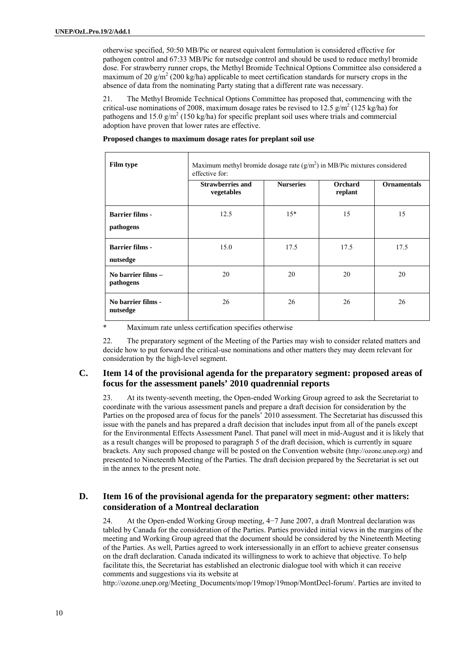otherwise specified, 50:50 MB/Pic or nearest equivalent formulation is considered effective for pathogen control and 67:33 MB/Pic for nutsedge control and should be used to reduce methyl bromide dose. For strawberry runner crops, the Methyl Bromide Technical Options Committee also considered a maximum of 20  $g/m^2$  (200 kg/ha) applicable to meet certification standards for nursery crops in the absence of data from the nominating Party stating that a different rate was necessary.

21. The Methyl Bromide Technical Options Committee has proposed that, commencing with the critical-use nominations of 2008, maximum dosage rates be revised to 12.5  $g/m^2$  (125 kg/ha) for pathogens and 15.0  $g/m^2$  (150 kg/ha) for specific preplant soil uses where trials and commercial adoption have proven that lower rates are effective.

|  |  | Proposed changes to maximum dosage rates for preplant soil use |  |
|--|--|----------------------------------------------------------------|--|
|--|--|----------------------------------------------------------------|--|

| Film type                           | Maximum methyl bromide dosage rate $(g/m2)$ in MB/Pic mixtures considered<br>effective for: |                  |                           |                    |
|-------------------------------------|---------------------------------------------------------------------------------------------|------------------|---------------------------|--------------------|
|                                     | <b>Strawberries and</b><br>vegetables                                                       | <b>Nurseries</b> | <b>Orchard</b><br>replant | <b>Ornamentals</b> |
| <b>Barrier films -</b><br>pathogens | 12.5                                                                                        | $15*$            | 15                        | 15                 |
| <b>Barrier films -</b><br>nutsedge  | 15.0                                                                                        | 17.5             | 17.5                      | 17.5               |
| No barrier films -<br>pathogens     | 20                                                                                          | 20               | 20                        | 20                 |
| No barrier films -<br>nutsedge      | 26                                                                                          | 26               | 26                        | 26                 |

\* Maximum rate unless certification specifies otherwise

22. The preparatory segment of the Meeting of the Parties may wish to consider related matters and decide how to put forward the critical-use nominations and other matters they may deem relevant for consideration by the high-level segment.

### **C. Item 14 of the provisional agenda for the preparatory segment: proposed areas of focus for the assessment panels' 2010 quadrennial reports**

23. At its twenty-seventh meeting, the Open-ended Working Group agreed to ask the Secretariat to coordinate with the various assessment panels and prepare a draft decision for consideration by the Parties on the proposed area of focus for the panels' 2010 assessment. The Secretariat has discussed this issue with the panels and has prepared a draft decision that includes input from all of the panels except for the Environmental Effects Assessment Panel. That panel will meet in mid-August and it is likely that as a result changes will be proposed to paragraph 5 of the draft decision, which is currently in square brackets. Any such proposed change will be posted on the Convention website (http://ozone.unep.org) and presented to Nineteenth Meeting of the Parties. The draft decision prepared by the Secretariat is set out in the annex to the present note.

### **D. Item 16 of the provisional agenda for the preparatory segment: other matters: consideration of a Montreal declaration**

24. At the Open-ended Working Group meeting, 4−7 June 2007, a draft Montreal declaration was tabled by Canada for the consideration of the Parties. Parties provided initial views in the margins of the meeting and Working Group agreed that the document should be considered by the Nineteenth Meeting of the Parties. As well, Parties agreed to work intersessionally in an effort to achieve greater consensus on the draft declaration. Canada indicated its willingness to work to achieve that objective. To help facilitate this, the Secretariat has established an electronic dialogue tool with which it can receive comments and suggestions via its website at

http://ozone.unep.org/Meeting\_Documents/mop/19mop/19mop/MontDecl-forum/. Parties are invited to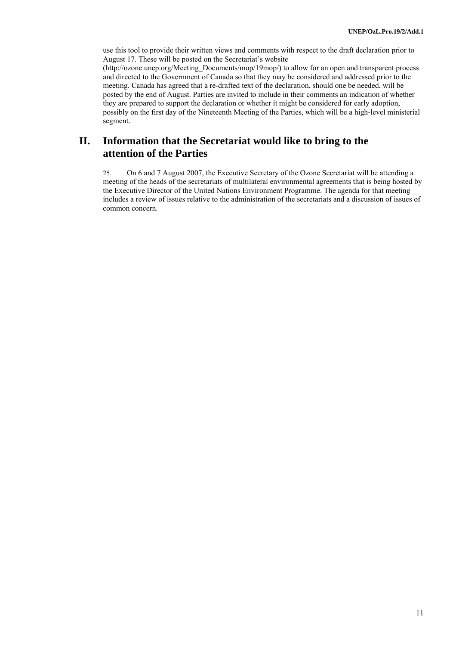use this tool to provide their written views and comments with respect to the draft declaration prior to August 17. These will be posted on the Secretariat's website

(http://ozone.unep.org/Meeting\_Documents/mop/19mop/) to allow for an open and transparent process and directed to the Government of Canada so that they may be considered and addressed prior to the meeting. Canada has agreed that a re-drafted text of the declaration, should one be needed, will be posted by the end of August. Parties are invited to include in their comments an indication of whether they are prepared to support the declaration or whether it might be considered for early adoption, possibly on the first day of the Nineteenth Meeting of the Parties, which will be a high-level ministerial segment.

## **II. Information that the Secretariat would like to bring to the attention of the Parties**

25. On 6 and 7 August 2007, the Executive Secretary of the Ozone Secretariat will be attending a meeting of the heads of the secretariats of multilateral environmental agreements that is being hosted by the Executive Director of the United Nations Environment Programme. The agenda for that meeting includes a review of issues relative to the administration of the secretariats and a discussion of issues of common concern.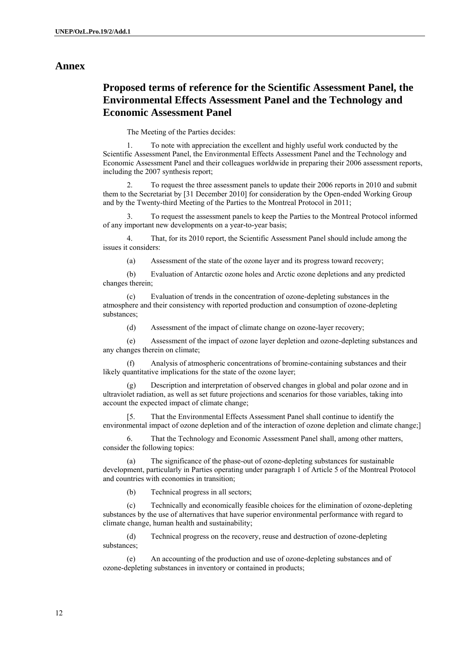## **Annex**

## **Proposed terms of reference for the Scientific Assessment Panel, the Environmental Effects Assessment Panel and the Technology and Economic Assessment Panel**

The Meeting of the Parties decides:

1. To note with appreciation the excellent and highly useful work conducted by the Scientific Assessment Panel, the Environmental Effects Assessment Panel and the Technology and Economic Assessment Panel and their colleagues worldwide in preparing their 2006 assessment reports, including the 2007 synthesis report;

 2. To request the three assessment panels to update their 2006 reports in 2010 and submit them to the Secretariat by [31 December 2010] for consideration by the Open-ended Working Group and by the Twenty-third Meeting of the Parties to the Montreal Protocol in 2011;

3. To request the assessment panels to keep the Parties to the Montreal Protocol informed of any important new developments on a year-to-year basis;

4. That, for its 2010 report, the Scientific Assessment Panel should include among the issues it considers:

(a) Assessment of the state of the ozone layer and its progress toward recovery;

(b) Evaluation of Antarctic ozone holes and Arctic ozone depletions and any predicted changes therein;

(c) Evaluation of trends in the concentration of ozone-depleting substances in the atmosphere and their consistency with reported production and consumption of ozone-depleting substances;

(d) Assessment of the impact of climate change on ozone-layer recovery;

(e) Assessment of the impact of ozone layer depletion and ozone-depleting substances and any changes therein on climate;

 (f) Analysis of atmospheric concentrations of bromine-containing substances and their likely quantitative implications for the state of the ozone layer;

 (g) Description and interpretation of observed changes in global and polar ozone and in ultraviolet radiation, as well as set future projections and scenarios for those variables, taking into account the expected impact of climate change;

[5. That the Environmental Effects Assessment Panel shall continue to identify the environmental impact of ozone depletion and of the interaction of ozone depletion and climate change;]

6. That the Technology and Economic Assessment Panel shall, among other matters, consider the following topics:

 (a) The significance of the phase-out of ozone-depleting substances for sustainable development, particularly in Parties operating under paragraph 1 of Article 5 of the Montreal Protocol and countries with economies in transition;

(b) Technical progress in all sectors;

 (c) Technically and economically feasible choices for the elimination of ozone-depleting substances by the use of alternatives that have superior environmental performance with regard to climate change, human health and sustainability;

(d) Technical progress on the recovery, reuse and destruction of ozone-depleting substances;

(e) An accounting of the production and use of ozone-depleting substances and of ozone-depleting substances in inventory or contained in products;